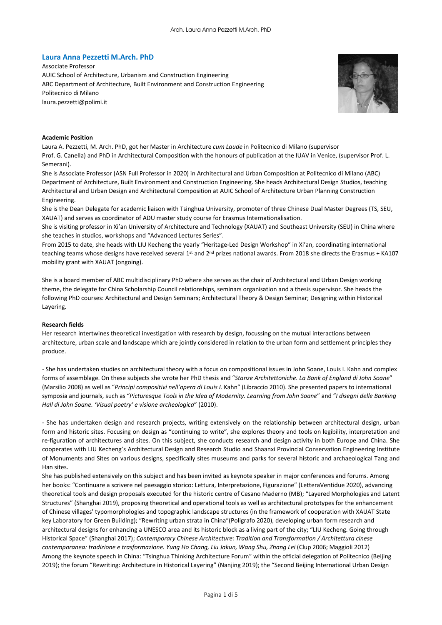## **Laura Anna Pezzetti M.Arch. PhD**

Associate Professor AUIC School of Architecture, Urbanism and Construction Engineering ABC Department of Architecture, Built Environment and Construction Engineering Politecnico di Milano laura.pezzetti@polimi.it



#### **Academic Position**

Laura A. Pezzetti, M. Arch. PhD, got her Master in Architecture *cum Laude* in Politecnico di Milano (supervisor Prof. G. Canella) and PhD in Architectural Composition with the honours of publication at the IUAV in Venice, (supervisor Prof. L. Semerani).

She is Associate Professor (ASN Full Professor in 2020) in Architectural and Urban Composition at Politecnico di Milano (ABC) Department of Architecture, Built Environment and Construction Engineering. She heads Architectural Design Studios, teaching Architectural and Urban Design and Architectural Composition at AUIC School of Architecture Urban Planning Construction Engineering.

She is the Dean Delegate for academic liaison with Tsinghua University, promoter of three Chinese Dual Master Degrees (TS, SEU, XAUAT) and serves as coordinator of ADU master study course for Erasmus Internationalisation.

She is visiting professor in Xi'an University of Architecture and Technology (XAUAT) and Southeast University (SEU) in China where she teaches in studios, workshops and "Advanced Lectures Series".

From 2015 to date, she heads with LIU Kecheng the yearly "Heritage-Led Design Workshop" in Xi'an, coordinating international teaching teams whose designs have received several 1<sup>st</sup> and 2<sup>nd</sup> prizes national awards. From 2018 she directs the Erasmus + KA107 mobility grant with XAUAT (ongoing).

She is a board member of ABC multidisciplinary PhD where she serves as the chair of Architectural and Urban Design working theme, the delegate for China Scholarship Council relationships, seminars organisation and a thesis supervisor. She heads the following PhD courses: Architectural and Design Seminars; Architectural Theory & Design Seminar; Designing within Historical Layering.

#### **Research fields**

Her research intertwines theoretical investigation with research by design, focussing on the mutual interactions between architecture, urban scale and landscape which are jointly considered in relation to the urban form and settlement principles they produce.

- She has undertaken studies on architectural theory with a focus on compositional issues in John Soane, Louis I. Kahn and complex forms of assemblage. On these subjects she wrote her PhD thesis and "*Stanze Architettoniche. La Bank of England di John Soane*" (Marsilio 2008) as well as "*Principi compositivi nell'opera di Louis I.* Kahn" (Libraccio 2010). She presented papers to international symposia and journals, such as "*Picturesque Tools in the Idea of Modernity. Learning from John Soane*" and "*I disegni delle Banking Hall di John Soane. 'Visual poetry' e visione archeologica*" (2010).

- She has undertaken design and research projects, writing extensively on the relationship between architectural design, urban form and historic sites. Focusing on design as "continuing to write", she explores theory and tools on legibility, interpretation and re-figuration of architectures and sites. On this subject, she conducts research and design activity in both Europe and China. She cooperates with LIU Kecheng's Architectural Design and Research Studio and Shaanxi Provincial Conservation Engineering Institute of Monuments and Sites on various designs, specifically sites museums and parks for several historic and archaeological Tang and Han sites.

She has published extensively on this subject and has been invited as keynote speaker in major conferences and forums. Among her books: "Continuare a scrivere nel paesaggio storico: Lettura, Interpretazione, Figurazione" (LetteraVentidue 2020), advancing theoretical tools and design proposals executed for the historic centre of Cesano Maderno (MB); "Layered Morphologies and Latent Structures" (Shanghai 2019), proposing theoretical and operational tools as well as architectural prototypes for the enhancement of Chinese villages' typomorphologies and topographic landscape structures (in the framework of cooperation with XAUAT State key Laboratory for Green Building); "Rewriting urban strata in China"(Poligrafo 2020), developing urban form research and architectural designs for enhancing a UNESCO area and its historic block as a living part of the city; "LIU Kecheng. Going through Historical Space" (Shanghai 2017); *Contemporary Chinese Architecture: Tradition and Transformation / Architettura cinese contemporanea: tradizione e trasformazione. Yung Ho Chang, Liu Jakun, Wang Shu, Zhang Lei* (Clup 2006; Maggioli 2012) Among the keynote speech in China: "Tsinghua Thinking Architecture Forum" within the official delegation of Politecnico (Beijing 2019); the forum "Rewriting: Architecture in Historical Layering" (Nanjing 2019); the "Second Beijing International Urban Design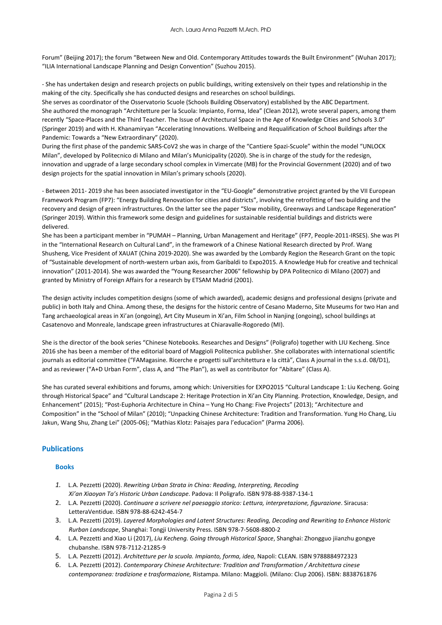Forum" (Beijing 2017); the forum "Between New and Old. Contemporary Attitudes towards the Built Environment" (Wuhan 2017); "ILIA International Landscape Planning and Design Convention" (Suzhou 2015).

- She has undertaken design and research projects on public buildings, writing extensively on their types and relationship in the making of the city. Specifically she has conducted designs and researches on school buildings.

She serves as coordinator of the Osservatorio Scuole (Schools Building Observatory) established by the ABC Department. She authored the monograph "Architetture per la Scuola: Impianto, Forma, Idea" (Clean 2012), wrote several papers, among them recently "Space-Places and the Third Teacher. The Issue of Architectural Space in the Age of Knowledge Cities and Schools 3.0" (Springer 2019) and with H. Khanamiryan "Accelerating Innovations. Wellbeing and Requalification of School Buildings after the Pandemic: Towards a "New Extraordinary" (2020).

During the first phase of the pandemic SARS-CoV2 she was in charge of the "Cantiere Spazi-Scuole" within the model "UNLOCK Milan", developed by Politecnico di Milano and Milan's Municipality (2020). She is in charge of the study for the redesign, innovation and upgrade of a large secondary school complex in Vimercate (MB) for the Provincial Government (2020) and of two design projects for the spatial innovation in Milan's primary schools (2020).

- Between 2011- 2019 she has been associated investigator in the "EU-Google" demonstrative project granted by the VII European Framework Program (FP7): "Energy Building Renovation for cities and districts", involving the retrofitting of two building and the recovery and design of green infrastructures. On the latter see the paper "Slow mobility, Greenways and Landscape Regeneration" (Springer 2019). Within this framework some design and guidelines for sustainable residential buildings and districts were delivered.

She has been a participant member in "PUMAH – Planning, Urban Management and Heritage" (FP7, People-2011-IRSES). She was PI in the "International Research on Cultural Land", in the framework of a Chinese National Research directed by Prof. Wang Shusheng, Vice President of XAUAT (China 2019-2020). She was awarded by the Lombardy Region the Research Grant on the topic of "Sustainable development of north-western urban axis, from Garibaldi to Expo2015. A Knowledge Hub for creative and technical innovation" (2011-2014). She was awarded the "Young Researcher 2006" fellowship by DPA Politecnico di Milano (2007) and granted by Ministry of Foreign Affairs for a research by ETSAM Madrid (2001).

The design activity includes competition designs (some of which awarded), academic designs and professional designs (private and public) in both Italy and China. Among these, the designs for the historic centre of Cesano Maderno, Site Museums for two Han and Tang archaeological areas in Xi'an (ongoing), Art City Museum in Xi'an, Film School in Nanjing (ongoing), school buildings at Casatenovo and Monreale, landscape green infrastructures at Chiaravalle-Rogoredo (MI).

She is the director of the book series "Chinese Notebooks. Researches and Designs" (Poligrafo) together with LIU Kecheng. Since 2016 she has been a member of the editorial board of Maggioli Politecnica publisher. She collaborates with international scientific journals as editorial committee ("FAMagasine. Ricerche e progetti sull'architettura e la città", Class A journal in the s.s.d. 08/D1), and as reviewer ("A+D Urban Form", class A, and "The Plan"), as well as contributor for "Abitare" (Class A).

She has curated several exhibitions and forums, among which: Universities for EXPO2015 "Cultural Landscape 1: Liu Kecheng. Going through Historical Space" and "Cultural Landscape 2: Heritage Protection in Xi'an City Planning. Protection, Knowledge, Design, and Enhancement" (2015); "Post-Euphoria Architecture in China – Yung Ho Chang: Five Projects" (2013); "Architecture and Composition" in the "School of Milan" (2010); "Unpacking Chinese Architecture: Tradition and Transformation. Yung Ho Chang, Liu Jakun, Wang Shu, Zhang Lei" (2005-06); "Mathias Klotz: Paisajes para l'educaćion" (Parma 2006).

# **Publications**

## **Books**

- *1.* L.A. Pezzetti (2020). *Rewriting Urban Strata in China: Reading, Interpreting, Recoding Xi'an Xiaoyan Ta's Historic Urban Landscape*. Padova: Il Poligrafo. ISBN 978-88-9387-134-1
- 2. L.A. Pezzetti (2020). *Continuare a scrivere nel paesaggio storico: Lettura, interpretazione, figurazione*. Siracusa: LetteraVentidue. ISBN 978-88-6242-454-7
- 3. L.A. Pezzetti (2019). *Layered Morphologies and Latent Structures: Reading, Decoding and Rewriting to Enhance Historic Rurban Landscape*, Shanghai: Tongji University Press. ISBN 978-7-5608-8800-2
- 4. L.A. Pezzetti and Xiao Li (2017), *Liu Kecheng. Going through Historical Space*, Shanghai: Zhongguo jiianzhu gongye chubanshe. ISBN 978-7112-21285-9
- 5. L.A. Pezzetti (2012). *Architetture per la scuola. Impianto, forma, idea,* Napoli: CLEAN. ISBN 9788884972323
- 6. L.A. Pezzetti (2012). *Contemporary Chinese Architecture: Tradition and Transformation / Architettura cinese contemporanea: tradizione e trasformazione,* Ristampa. Milano: Maggioli. (Milano: Clup 2006). ISBN: 8838761876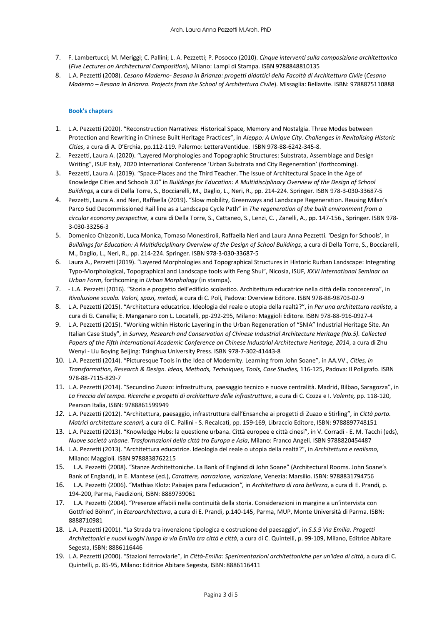- 7. F. Lambertucci; M. Meriggi; C. Pallini; L. A. Pezzetti; P. Posocco (2010). *Cinque interventi sulla composizione architettonica* (*Five Lectures on Architectural Composition*)*,* Milano: Lampi di Stampa. ISBN 9788848810135
- 8. L.A. Pezzetti (2008). *Cesano Maderno- Besana in Brianza: progetti didattici della Facoltà di Architettura Civile* (*Cesano Maderno – Besana in Brianza. Projects from the School of Architettura Civile*). Missaglia: Bellavite. ISBN: 9788875110888

## **Book's chapters**

- 1. L.A. Pezzetti (2020). "Reconstruction Narratives: Historical Space, Memory and Nostalgia. Three Modes between Protection and Rewriting in Chinese Built Heritage Practices", in *Aleppo: A Unique City. Challenges in Revitalising Historic Cities*, a cura di A. D'Erchia, pp.112-119*.* Palermo: LetteraVentidue. ISBN 978-88-6242-345-8.
- 2. Pezzetti, Laura A. (2020). "Layered Morphologies and Topographic Structures: Substrata, Assemblage and Design Writing", ISUF Italy, 2020 International Conference 'Urban Substrata and City Regeneration' (forthcoming).
- 3. Pezzetti, Laura A. (2019). "Space-Places and the Third Teacher. The Issue of Architectural Space in the Age of Knowledge Cities and Schools 3.0" in *[Buildings for Education:](https://www.springer.com/gp/book/9783030336868) A Multidisciplinary Overview of the Design of School Buildings*, a cura di Della Torre, S., Bocciarelli, M., Daglio, L., Neri, R., pp. 214-224. Springer. ISBN 978-3-030-33687-5
- 4. Pezzetti, Laura A. and Neri, Raffaella (2019). "Slow mobility, Greenways and Landscape Regeneration. Reusing Milan's Parco Sud Decommissioned Rail line as a Landscape Cycle Path" in *The regeneration of the built environment from a circular economy perspective*, a cura di Della Torre, S., Cattaneo, S., Lenzi, C. , Zanelli, A., pp. 147-156., Springer. ISBN 978- 3-030-33256-3
- 5. Domenico Chizzoniti, Luca Monica, Tomaso Monestiroli, Raffaella Neri and Laura Anna Pezzetti. 'Design for Schools', in *[Buildings for Education:](https://www.springer.com/gp/book/9783030336868) A Multidisciplinary Overview of the Design of School Buildings*, a cura di Della Torre, S., Bocciarelli, M., Daglio, L., Neri, R., pp. 214-224. Springer. ISBN 978-3-030-33687-5
- 6. Laura A., Pezzetti (2019). "Layered Morphologies and Topographical Structures in Historic Rurban Landscape: Integrating Typo-Morphological, Topographical and Landscape tools with Feng Shui", Nicosia, ISUF*, XXVI International Seminar on Urban Form*, forthcoming in *Urban Morphology* (in stampa).
- 7. L.A. Pezzetti (2016). "Storia e progetto dell'edificio scolastico. Architettura educatrice nella città della conoscenza", in *Rivoluzione scuola. Valori, spazi, metodi,* a cura di C. Poli*,* Padova: Overview Editore. ISBN 978-88-98703-02-9
- 8. L.A. Pezzetti (2015). "Architettura educatrice. Ideologia del reale o utopia della realtà?", in *Per una architettura realista*, a cura di G. Canella; E. Manganaro con L. Locatelli, pp-292-295, Milano: Maggioli Editore. ISBN 978-88-916-0927-4
- 9. L.A. Pezzetti (2015). "Working within Historic Layering in the Urban Regeneration of "SNIA" Industrial Heritage Site. An Italian Case Study", in *Survey, Research and Conservation of Chinese Industrial Architecture Heritage (No.5). Collected Papers of the Fifth International Academic Conference on Chinese Industrial Architecture Heritage, 201*4, a cura di Zhu Wenyi - Liu Boying Beijing: Tsinghua University Press. ISBN 978-7-302-41443-8
- 10. L.A. Pezzetti (2014). "Picturesque Tools in the Idea of Modernity. Learning from John Soane", in AA.VV., *Cities, in Transformation, Research & Design. Ideas, Methods, Techniques, Tools, Case Studies,* 116-125, Padova: Il Poligrafo. ISBN 978-88-7115-829-7
- 11. L.A. Pezzetti (2014). "Secundino Zuazo: infrastruttura, paesaggio tecnico e nuove centralità. Madrid, Bilbao, Saragozza", in *La Freccia del tempo. Ricerche e progetti di architettura delle infrastrutture*, a cura di C. Cozza e I. *Valente,* pp. 118-120, Pearson Italia, ISBN: 9788861599949
- *12.* L.A. Pezzetti (2012). "Architettura, paesaggio, infrastruttura dall'Ensanche ai progetti di Zuazo e Stirling", in *Città porto. Matrici architetture scenari,* a cura di C. Pallini - S. Recalcati, pp. 159-169, Libraccio Editore, ISBN: 9788897748151
- 13. L.A. Pezzetti (2013). "Knowledge Hubs: la questione urbana. Città europee e città cinesi", in V. Corradi E. M. Tacchi (eds), *Nuove società urbane. Trasformazioni della città tra Europa e Asia*, Milano: Franco Angeli. ISBN 9788820454487
- 14. L.A. Pezzetti (2013). "Architettura educatrice. Ideologia del reale o utopia della realtà?", in *Architettura e realismo*, Milano: Maggioli. ISBN 9788838762215
- 15. L.A. Pezzetti (2008). "Stanze Architettoniche. La Bank of England di John Soane" (Architectural Rooms. John Soane's Bank of England), in E. Mantese (ed.), *Carattere, narrazione, variazione*, Venezia: Marsilio. ISBN: 9788831794756
- 16. L.A. Pezzetti (2006). "Mathias Klotz: Paisajes para l'educacion*",* in *Architettura di rara bellezza*, a cura di E. Prandi, p. 194-200, Parma, Faedizioni, ISBN: 8889739061
- 17. L.A. Pezzetti (2004). "Presenze affabili nella continuità della storia. Considerazioni in margine a un'intervista con Gottfried Böhm", in *Eteroarchitettura*, a cura di E. Prandi, p.140-145, Parma, MUP, Monte Università di Parma. ISBN: 8888710981
- 18. L.A. Pezzetti (2001). "La Strada tra invenzione tipologica e costruzione del paesaggio", in *S.S.9 Via Emilia. Progetti Architettonici e nuovi luoghi lungo la via Emilia tra città e città*, a cura di C. Quintelli, p. 99-109, Milano, Editrice Abitare Segesta, ISBN: 8886116446
- 19. L.A. Pezzetti (2000). "Stazioni ferroviarie", in *Città-Emilia: Sperimentazioni architettoniche per un'idea di città,* a cura di C. Quintelli, p. 85-95, Milano: Editrice Abitare Segesta, ISBN: 8886116411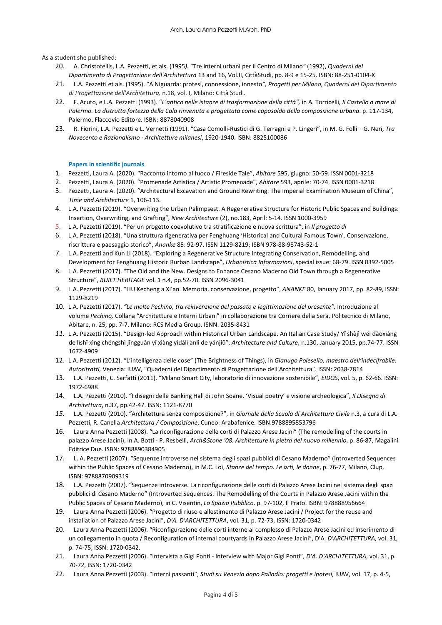As a student she published:

- 20. A. Christofellis, L.A. Pezzetti, et als. (1995*).* "Tre interni urbani per il Centro di Milano*"* (1992), *Quaderni del Dipartimento di Progettazione dell'Architettura* 13 and 16, Vol.II, CittàStudi, pp. 8-9 e 15-25. ISBN: 88-251-0104-X
- 21. L.A. Pezzetti et als. (1995). "A Niguarda: protesi, connessione, innesto*", Progetti per Milano*, *Quaderni del Dipartimento di Progettazione dell'Architettura,* n.18, vol. I, Milano: Città Studi.
- 22. F. Acuto, e L.A. Pezzetti (1993). "L'antico nelle istanze di trasformazione della città", in A. Torricelli, Il Castello a mare di *Palermo. La distrutta fortezza della Cala rinvenuta e progettata come caposaldo della composizione urbana*. p. 117-134, Palermo, Flaccovio Editore. ISBN: 8878040908
- 23. R. Fiorini, L.A. Pezzetti e L. Vernetti (1991). "Casa Comolli-Rustici di G. Terragni e P. Lingeri", in M. G. Folli G. Neri, *Tra Novecento e Razionalismo - Architetture milanesi*, 1920-1940. ISBN: 8825100086

## **Papers in scientific journals**

- 1. Pezzetti, Laura A. (2020). "Racconto intorno al fuoco / Fireside Tale", *Abitare* 595, giugno: 50-59. ISSN 0001-3218
- 2. Pezzetti, Laura A. (2020). "Promenade Artistica / Artistic Promenade", *Abitare* 593, aprile: 70-74. ISSN 0001-3218
- 3. Pezzetti, Laura A. (2020). "Architectural Excavation and Ground Rewriting. The Imperial Examination Museum of China", *Time and Architecture* 1, 106-113.
- 4. L.A. Pezzetti (2019). "Overwriting the Urban Palimpsest. A Regenerative Structure for Historic Public Spaces and Buildings: Insertion, Overwriting, and Grafting", *New Architecture* (2), no.183, April: 5-14. ISSN 1000-3959
- 5. L.A. Pezzetti (2019). "Per un progetto coevolutivo tra stratificazione e nuova scrittura", in *Il progetto di*
- 6. L.A. Pezzetti (2018). "Una struttura rigenerativa per Fenghuang 'Historical and Cultural Famous Town'. Conservazione, riscrittura e paesaggio storico", *Ananke* 85: 92-97. ISSN 1129-8219; ISBN 978-88-98743-52-1
- 7. L.A. Pezzetti and Kun Li (2018). "Exploring a Regenerative Structure Integrating Conservation, Remodelling, and Development for Fenghuang Historic Rurban Landscape", *Urbanistica Informazioni*, special issue: 68-79. ISSN 0392-5005
- 8. L.A. Pezzetti (2017). "The Old and the New. Designs to Enhance Cesano Maderno Old Town through a Regenerative Structure", *BUILT HERITAGE* vol. 1 n.4, pp.52-70. ISSN 2096-3041
- 9. L.A. Pezzetti (2017). "LIU Kecheng a Xi'an. Memoria, conservazione, progetto", *ANANKE* 80, January 2017, pp. 82-89, ISSN: 1129-8219
- 10. L.A. Pezzetti (2017). *"Le molte Pechino, tra reinvenzione del passato e legittimazione del presente",* Introduzione al volume *Pechino,* Collana "Architetture e Interni Urbani" in collaborazione tra Corriere della Sera, Politecnico di Milano, Abitare, n. 25, pp. 7-7. Milano: RCS Media Group. ISNN: 2035-8431
- *11.* L.A. Pezzetti (2015). "Design-led Approach within Historical Urban Landscape. An Italian Case Study/ Yǐ shèjì wéi dǎoxiàng de lìshǐ xìng chéngshì jǐngguân yî xiàng yìdàlì ànlì de yánjiû", *Architecture and Culture*, n.130, January 2015, pp.74-77. ISSN 1672-4909
- 12. L.A. Pezzetti (2012). "L'intelligenza delle cose" (The Brightness of Things), in *Gianugo Polesello, maestro dell'indecifrabile. Autoritratti,* Venezia: IUAV, "Quaderni del Dipartimento di Progettazione dell'Architettura". ISSN: 2038-7814
- 13. L.A. Pezzetti, C. Sarfatti (2011). "Milano Smart City, laboratorio di innovazione sostenibile", *EIDOS*, vol. 5, p. 62-66. ISSN: 1972-6988
- 14. L.A. Pezzetti (2010). "I disegni delle Banking Hall di John Soane. 'Visual poetry' e visione archeologica", *Il Disegno di Architettura*, n.37, pp.42-47. ISSN: 1121-8770
- *15.* L.A. Pezzetti (2010). "Architettura senza composizione?", in *Giornale della Scuola di Architettura Civile* n.3, a cura di L.A. Pezzetti, R. Canella *Architettura / Composizione*, Cuneo: Arabafenice. ISBN:9788895853796
- 16. Laura Anna Pezzetti (2008). "La riconfigurazione delle corti di Palazzo Arese Jacini" (The remodelling of the courts in palazzo Arese Jacini), in A. Botti - P. Resbelli, *Arch&Stone '08. Architetture in pietra del nuovo millennio*, p. 86-87, Magalini Editrice Due. ISBN: 9788890384905
- 17. L. A. Pezzetti (2007). "Sequenze introverse nel sistema degli spazi pubblici di Cesano Maderno" (Introverted Sequences within the Public Spaces of Cesano Maderno), in M.C. Loi, *Stanze del tempo. Le arti, le donne*, p. 76-77, Milano, Clup, ISBN: 9788870909319
- 18. L.A. Pezzetti (2007). "Sequenze introverse. La riconfigurazione delle corti di Palazzo Arese Jacini nel sistema degli spazi pubblici di Cesano Maderno" (Introverted Sequences. The Remodelling of the Courts in Palazzo Arese Jacini within the Public Spaces of Cesano Maderno), in C. Visentin, *Lo Spazio Pubblico*. p. 97-102, Il Prato. ISBN: 978888956664
- 19. Laura Anna Pezzetti (2006). "Progetto di riuso e allestimento di Palazzo Arese Jacini / Project for the reuse and installation of Palazzo Arese Jacini", *D'A. D'ARCHITETTURA*, vol. 31, p. 72-73, ISSN: 1720-0342
- 20. Laura Anna Pezzetti (2006). "Riconfigurazione delle corti interne al complesso di Palazzo Arese Jacini ed inserimento di un collegamento in quota / Reconfiguration of internal courtyards in Palazzo Arese Jacini", D'A. *D'ARCHITETTURA*, vol. 31, p. 74-75, ISSN: 1720-0342.
- 21. Laura Anna Pezzetti (2006). "Intervista a Gigi Ponti Interview with Major Gigi Ponti", *D'A. D'ARCHITETTURA*, vol. 31, p. 70-72, ISSN: 1720-0342
- 22. Laura Anna Pezzetti (2003). "Interni passanti", *Studi su Venezia dopo Palladio: progetti e ipotesi*, IUAV, vol. 17, p. 4-5,